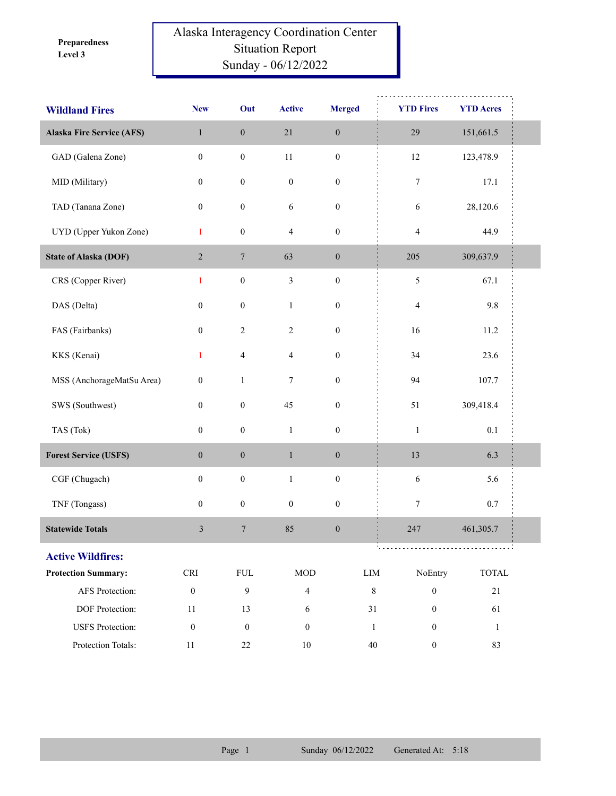**Level 3 Preparedness** 

## Alaska Interagency Coordination Center Situation Report Sunday - 06/12/2022

| <b>Wildland Fires</b>            | <b>New</b>                  | Out              | <b>Active</b>    | <b>Merged</b>    | <b>YTD Fires</b>                   | <b>YTD Acres</b>            |
|----------------------------------|-----------------------------|------------------|------------------|------------------|------------------------------------|-----------------------------|
| <b>Alaska Fire Service (AFS)</b> | $\,1$                       | $\boldsymbol{0}$ | $21\,$           | $\boldsymbol{0}$ | 29                                 | 151,661.5                   |
| GAD (Galena Zone)                | $\boldsymbol{0}$            | $\boldsymbol{0}$ | $11\,$           | $\boldsymbol{0}$ | $12\,$                             | 123,478.9                   |
| MID (Military)                   | $\boldsymbol{0}$            | $\boldsymbol{0}$ | $\boldsymbol{0}$ | $\boldsymbol{0}$ | $\boldsymbol{7}$                   | 17.1                        |
| TAD (Tanana Zone)                | $\boldsymbol{0}$            | $\boldsymbol{0}$ | $\sqrt{6}$       | $\boldsymbol{0}$ | 6                                  | 28,120.6                    |
| UYD (Upper Yukon Zone)           | $\mathbf{1}$                | $\boldsymbol{0}$ | $\overline{4}$   | $\boldsymbol{0}$ | $\overline{4}$                     | 44.9                        |
| <b>State of Alaska (DOF)</b>     | $\overline{2}$              | $\boldsymbol{7}$ | 63               | $\boldsymbol{0}$ | 205                                | 309,637.9                   |
| CRS (Copper River)               | $\mathbf{1}$                | $\boldsymbol{0}$ | $\mathfrak{Z}$   | $\boldsymbol{0}$ | 5                                  | 67.1                        |
| DAS (Delta)                      | $\boldsymbol{0}$            | $\boldsymbol{0}$ | $\mathbf{1}$     | $\boldsymbol{0}$ | $\overline{\mathcal{A}}$           | 9.8                         |
| FAS (Fairbanks)                  | $\boldsymbol{0}$            | $\sqrt{2}$       | $\overline{2}$   | $\boldsymbol{0}$ | 16                                 | 11.2                        |
| KKS (Kenai)                      | $\mathbf{1}$                | $\overline{4}$   | $\overline{4}$   | $\boldsymbol{0}$ | 34                                 | 23.6                        |
| MSS (AnchorageMatSu Area)        | $\boldsymbol{0}$            | $\mathbf{1}$     | 7                | $\boldsymbol{0}$ | 94                                 | 107.7                       |
| SWS (Southwest)                  | $\boldsymbol{0}$            | $\boldsymbol{0}$ | 45               | $\boldsymbol{0}$ | 51                                 | 309,418.4                   |
| TAS (Tok)                        | $\boldsymbol{0}$            | $\boldsymbol{0}$ | $\mathbf{1}$     | $\boldsymbol{0}$ | $\,1\,$                            | 0.1                         |
| <b>Forest Service (USFS)</b>     | $\boldsymbol{0}$            | $\boldsymbol{0}$ | $\,1\,$          | $\boldsymbol{0}$ | 13                                 | 6.3                         |
| CGF (Chugach)                    | $\boldsymbol{0}$            | $\boldsymbol{0}$ | $\,1$            | $\boldsymbol{0}$ | $\sqrt{6}$                         | 5.6                         |
| TNF (Tongass)                    | $\boldsymbol{0}$            | $\boldsymbol{0}$ | $\boldsymbol{0}$ | $\boldsymbol{0}$ | $\tau$                             | 0.7                         |
| <b>Statewide Totals</b>          | 3                           | $\boldsymbol{7}$ | 85               | $\boldsymbol{0}$ | 247                                | 461,305.7                   |
| <b>Active Wildfires:</b>         |                             |                  |                  |                  | ,,,,,,,,,,,,,,,,,,,,,,,,,,,,,,,,,, |                             |
| <b>Protection Summary:</b>       | $\ensuremath{\mathsf{CRI}}$ | ${\rm FUL}$      | <b>MOD</b>       |                  | NoEntry<br>$\text{LIM}{}$          | $\ensuremath{\text{TOTAL}}$ |
| AFS Protection:                  | $\boldsymbol{0}$            | 9                | $\overline{4}$   |                  | $\,8\,$<br>$\boldsymbol{0}$        | 21                          |
| DOF Protection:                  | 11                          | 13               | 6                |                  | $31\,$<br>$\boldsymbol{0}$         | 61                          |
| <b>USFS</b> Protection:          | $\boldsymbol{0}$            | $\boldsymbol{0}$ | $\boldsymbol{0}$ |                  | $\mathbf{0}$<br>$\mathbf{1}$       | -1                          |
| Protection Totals:               | $11\,$                      | 22               | $10\,$           |                  | $40\,$<br>$\boldsymbol{0}$         | 83                          |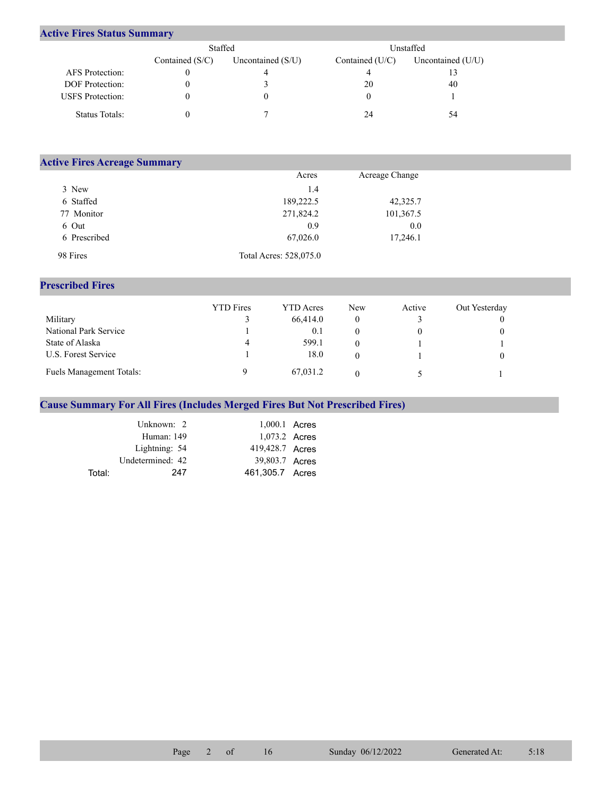## **Active Fires Status Summary**

|                         | Staffed           |                     | Unstaffed       |                     |  |
|-------------------------|-------------------|---------------------|-----------------|---------------------|--|
|                         | Contained $(S/C)$ | Uncontained $(S/U)$ | Contained (U/C) | Uncontained $(U/U)$ |  |
| AFS Protection:         |                   |                     |                 |                     |  |
| <b>DOF</b> Protection:  |                   |                     | 20              | 40                  |  |
| <b>USFS</b> Protection: |                   |                     |                 |                     |  |
| Status Totals:          |                   |                     | 24              | 54                  |  |

| <b>Active Fires Acreage Summary</b> |                        |                |  |  |  |  |  |  |
|-------------------------------------|------------------------|----------------|--|--|--|--|--|--|
|                                     | Acres                  | Acreage Change |  |  |  |  |  |  |
| 3 New                               | 1.4                    |                |  |  |  |  |  |  |
| 6 Staffed                           | 189,222.5              | 42,325.7       |  |  |  |  |  |  |
| 77 Monitor                          | 271,824.2              | 101,367.5      |  |  |  |  |  |  |
| 6 Out                               | 0.9                    | 0.0            |  |  |  |  |  |  |
| 6 Prescribed                        | 67,026.0               | 17,246.1       |  |  |  |  |  |  |
| 98 Fires                            | Total Acres: 528,075.0 |                |  |  |  |  |  |  |

## **Prescribed Fires**

|                          | <b>YTD</b> Fires | <b>YTD</b> Acres | <b>New</b> | Active | Out Yesterday |
|--------------------------|------------------|------------------|------------|--------|---------------|
| Military                 |                  | 66,414.0         |            |        |               |
| National Park Service    |                  | 0.1              |            |        |               |
| State of Alaska          | 4                | 599.1            |            |        |               |
| U.S. Forest Service      |                  | 18.0             |            |        |               |
| Fuels Management Totals: |                  | 67,031.2         |            |        |               |

## **Cause Summary For All Fires (Includes Merged Fires But Not Prescribed Fires)**

|        | Unknown: 2       | 1,000.1 Acres   |  |
|--------|------------------|-----------------|--|
|        | Human: 149       | 1,073.2 Acres   |  |
|        | Lightning: 54    | 419,428.7 Acres |  |
|        | Undetermined: 42 | 39,803.7 Acres  |  |
| Total: | 247              | 461,305.7 Acres |  |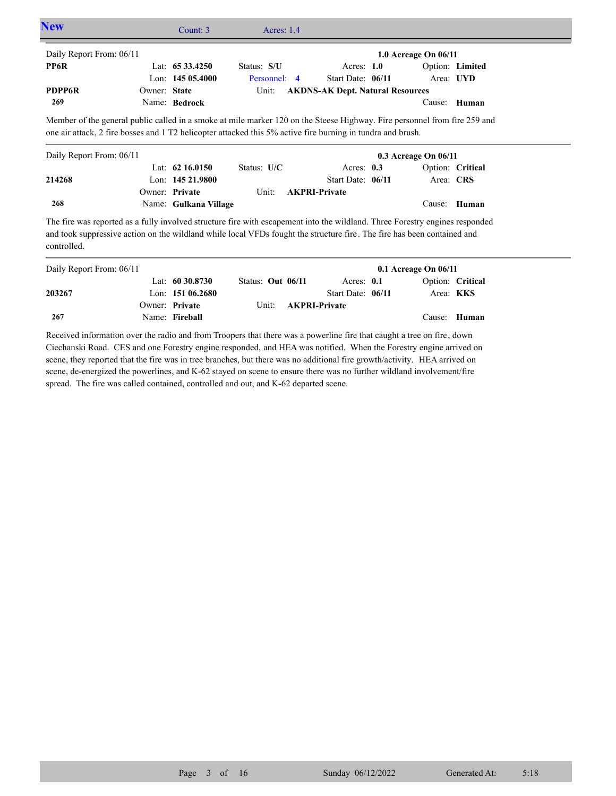| <b>New</b>               | Count: 3                                                                                                                                                                                                                                 | Acres: $1.4$  |                                         |                          |       |  |
|--------------------------|------------------------------------------------------------------------------------------------------------------------------------------------------------------------------------------------------------------------------------------|---------------|-----------------------------------------|--------------------------|-------|--|
| Daily Report From: 06/11 |                                                                                                                                                                                                                                          |               |                                         | 1.0 Acreage On $06/11$   |       |  |
| PP6R                     | Lat: $6533.4250$                                                                                                                                                                                                                         | Status: S/U   | Acres: $1.0$                            | Option: Limited          |       |  |
|                          | Lon: $14505.4000$                                                                                                                                                                                                                        | Personnel: 4  | Start Date: 06/11                       | Area: UYD                |       |  |
| <b>PDPP6R</b>            | Owner: State                                                                                                                                                                                                                             | Unit:         | <b>AKDNS-AK Dept. Natural Resources</b> |                          |       |  |
| 269                      | Name: Bedrock                                                                                                                                                                                                                            |               |                                         | Cause:                   | Human |  |
|                          | Member of the general public called in a smoke at mile marker 120 on the Steese Highway. Fire personnel from fire 259 and<br>one air attack, 2 fire bosses and 1 T2 helicopter attacked this 5% active fire burning in tundra and brush. |               |                                         |                          |       |  |
| Daily Report From: 06/11 |                                                                                                                                                                                                                                          |               |                                         | $0.3$ Acreage On $06/11$ |       |  |
|                          | Lat: $62\,16.0150$                                                                                                                                                                                                                       | Status: $U/C$ | Acres: $0.3$                            | Option: Critical         |       |  |
| 214268                   | Lon: $14521.9800$                                                                                                                                                                                                                        |               | Start Date: 06/11                       | Area: CRS                |       |  |
|                          | Owner: Private                                                                                                                                                                                                                           | Unit:         | <b>AKPRI-Private</b>                    |                          |       |  |

The fire was reported as a fully involved structure fire with escapement into the wildland. Three Forestry engines responded and took suppressive action on the wildland while local VFDs fought the structure fire. The fire has been contained and controlled.

Name: **Gulkana Village**

**268**

| Daily Report From: 06/11 |                    |                   |                            | $0.1$ Acreage On $06/11$ |                  |
|--------------------------|--------------------|-------------------|----------------------------|--------------------------|------------------|
|                          | Lat: $60\,30.8730$ | Status: Out 06/11 | Acres: $0.1$               |                          | Option: Critical |
| 203267                   | Lon: $15106.2680$  |                   | Start Date: 06/11          | Area: <b>KKS</b>         |                  |
|                          | Owner: Private     |                   | Unit: <b>AKPRI-Private</b> |                          |                  |
| 267                      | Name: Fireball     |                   |                            |                          | Cause: Human     |

Received information over the radio and from Troopers that there was a powerline fire that caught a tree on fire, down Ciechanski Road. CES and one Forestry engine responded, and HEA was notified. When the Forestry engine arrived on scene, they reported that the fire was in tree branches, but there was no additional fire growth/activity. HEA arrived on scene, de-energized the powerlines, and K-62 stayed on scene to ensure there was no further wildland involvement/fire spread. The fire was called contained, controlled and out, and K-62 departed scene.

Cause: **Human**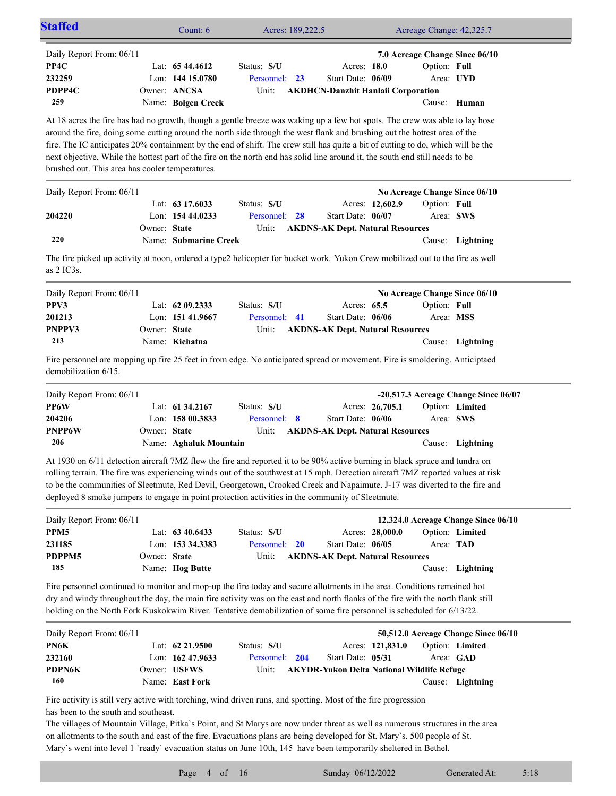| <b>Staffed</b>                                                                                                                                      |              | Count: 6               | Acres: 189,222.5        |                                         | Acreage Change: 42,325.7                          |                                      |
|-----------------------------------------------------------------------------------------------------------------------------------------------------|--------------|------------------------|-------------------------|-----------------------------------------|---------------------------------------------------|--------------------------------------|
| Daily Report From: 06/11                                                                                                                            |              |                        |                         |                                         | 7.0 Acreage Change Since 06/10                    |                                      |
| PP4C                                                                                                                                                |              | Lat: $6544.4612$       | Status: S/U             | Acres: 18.0                             | Option: Full                                      |                                      |
| 232259                                                                                                                                              |              | Lon: 144 15.0780       | Personnel: 23           | Start Date: 06/09                       |                                                   | Area: UYD                            |
| PDPP4C                                                                                                                                              |              | Owner: ANCSA           | Unit:                   |                                         | <b>AKDHCN-Danzhit Hanlaii Corporation</b>         |                                      |
| 259                                                                                                                                                 |              | Name: Bolgen Creek     |                         |                                         |                                                   | Cause: Human                         |
| At 18 acres the fire has had no growth, though a gentle breeze was waking up a few hot spots. The crew was able to lay hose                         |              |                        |                         |                                         |                                                   |                                      |
| around the fire, doing some cutting around the north side through the west flank and brushing out the hottest area of the                           |              |                        |                         |                                         |                                                   |                                      |
| fire. The IC anticipates 20% containment by the end of shift. The crew still has quite a bit of cutting to do, which will be the                    |              |                        |                         |                                         |                                                   |                                      |
| next objective. While the hottest part of the fire on the north end has solid line around it, the south end still needs to be                       |              |                        |                         |                                         |                                                   |                                      |
| brushed out. This area has cooler temperatures.                                                                                                     |              |                        |                         |                                         |                                                   |                                      |
| Daily Report From: 06/11                                                                                                                            |              |                        |                         |                                         | No Acreage Change Since 06/10                     |                                      |
|                                                                                                                                                     |              | Lat: $63\,17.6033$     | Status: S/U             |                                         | Option: Full<br>Acres: 12,602.9                   |                                      |
| 204220                                                                                                                                              |              | Lon: 154 44.0233       | Personnel: 28           | Start Date: 06/07                       |                                                   | Area: SWS                            |
|                                                                                                                                                     | Owner: State |                        | Unit:                   | <b>AKDNS-AK Dept. Natural Resources</b> |                                                   |                                      |
| 220                                                                                                                                                 |              | Name: Submarine Creek  |                         |                                         |                                                   | Cause: Lightning                     |
| The fire picked up activity at noon, ordered a type2 helicopter for bucket work. Yukon Crew mobilized out to the fire as well<br>as $2$ IC3s.       |              |                        |                         |                                         |                                                   |                                      |
| Daily Report From: 06/11                                                                                                                            |              |                        |                         |                                         | No Acreage Change Since 06/10                     |                                      |
| PPV3                                                                                                                                                |              | Lat: $6209.2333$       | Status: S/U             | Acres: 65.5                             | Option: Full                                      |                                      |
| 201213                                                                                                                                              |              | Lon: 151 41.9667       | Personnel: 41           | Start Date: 06/06                       |                                                   | Area: MSS                            |
| PNPPV3                                                                                                                                              | Owner: State |                        | Unit:                   | <b>AKDNS-AK Dept. Natural Resources</b> |                                                   |                                      |
| 213                                                                                                                                                 |              | Name: Kichatna         |                         |                                         |                                                   | Cause: Lightning                     |
| Fire personnel are mopping up fire 25 feet in from edge. No anticipated spread or movement. Fire is smoldering. Anticiptaed<br>demobilization 6/15. |              |                        |                         |                                         |                                                   |                                      |
| Daily Report From: 06/11                                                                                                                            |              |                        |                         |                                         |                                                   | -20,517.3 Acreage Change Since 06/07 |
| PP6W                                                                                                                                                |              | Lat: 61 34.2167        | Status: S/U             |                                         | Acres: 26,705.1                                   | Option: Limited                      |
| 204206                                                                                                                                              |              | Lon: 158 00.3833       | Personnel: 8            | Start Date: 06/06                       |                                                   | Area: SWS                            |
| <b>PNPP6W</b>                                                                                                                                       | Owner: State |                        | Unit:                   | <b>AKDNS-AK Dept. Natural Resources</b> |                                                   |                                      |
| 206                                                                                                                                                 |              | Name: Aghaluk Mountain |                         |                                         |                                                   | Cause: Lightning                     |
| At 1930 on 6/11 detection aircraft 7MZ flew the fire and reported it to be 90% active burning in black spruce and tundra on                         |              |                        |                         |                                         |                                                   |                                      |
| rolling terrain. The fire was experiencing winds out of the southwest at 15 mph. Detection aircraft 7MZ reported values at risk                     |              |                        |                         |                                         |                                                   |                                      |
| to be the communities of Sleetmute, Red Devil, Georgetown, Crooked Creek and Napaimute. J-17 was diverted to the fire and                           |              |                        |                         |                                         |                                                   |                                      |
| deployed 8 smoke jumpers to engage in point protection activities in the community of Sleetmute.                                                    |              |                        |                         |                                         |                                                   |                                      |
| Daily Report From: 06/11                                                                                                                            |              |                        |                         |                                         | 12,324.0 Acreage Change Since 06/10               |                                      |
| PPM5                                                                                                                                                |              | Lat: 63 40.6433        | Status: S/U             |                                         | Acres: 28,000.0                                   | Option: Limited                      |
| 231185                                                                                                                                              |              | Lon: 153 34.3383       | Personnel:<br><b>20</b> | Start Date: 06/05                       |                                                   | Area: TAD                            |
| PDPPM5                                                                                                                                              | Owner: State |                        | Unit:                   | <b>AKDNS-AK Dept. Natural Resources</b> |                                                   |                                      |
| 185                                                                                                                                                 |              | Name: Hog Butte        |                         |                                         | Cause:                                            | Lightning                            |
| Fire personnel continued to monitor and mop-up the fire today and secure allotments in the area. Conditions remained hot                            |              |                        |                         |                                         |                                                   |                                      |
| dry and windy throughout the day, the main fire activity was on the east and north flanks of the fire with the north flank still                    |              |                        |                         |                                         |                                                   |                                      |
| holding on the North Fork Kuskokwim River. Tentative demobilization of some fire personnel is scheduled for 6/13/22.                                |              |                        |                         |                                         |                                                   |                                      |
| Daily Report From: 06/11                                                                                                                            |              |                        |                         |                                         | 50,512.0 Acreage Change Since 06/10               |                                      |
| PN6K                                                                                                                                                |              | Lat: 62 21.9500        | Status: S/U             |                                         | Acres: 121,831.0                                  | Option: Limited                      |
| 232160                                                                                                                                              |              | Lon: 162 47.9633       | Personnel: 204          | Start Date: 05/31                       |                                                   | Area: GAD                            |
| PDPN6K                                                                                                                                              |              | Owner: USFWS           | Unit:                   |                                         | <b>AKYDR-Yukon Delta National Wildlife Refuge</b> |                                      |

Fire activity is still very active with torching, wind driven runs, and spotting. Most of the fire progression has been to the south and southeast.

Name: **East Fork**

**160**

The villages of Mountain Village, Pitka`s Point, and St Marys are now under threat as well as numerous structures in the area on allotments to the south and east of the fire. Evacuations plans are being developed for St. Mary`s. 500 people of St. Mary's went into level 1 'ready' evacuation status on June 10th, 145 have been temporarily sheltered in Bethel.

Cause: **Lightning**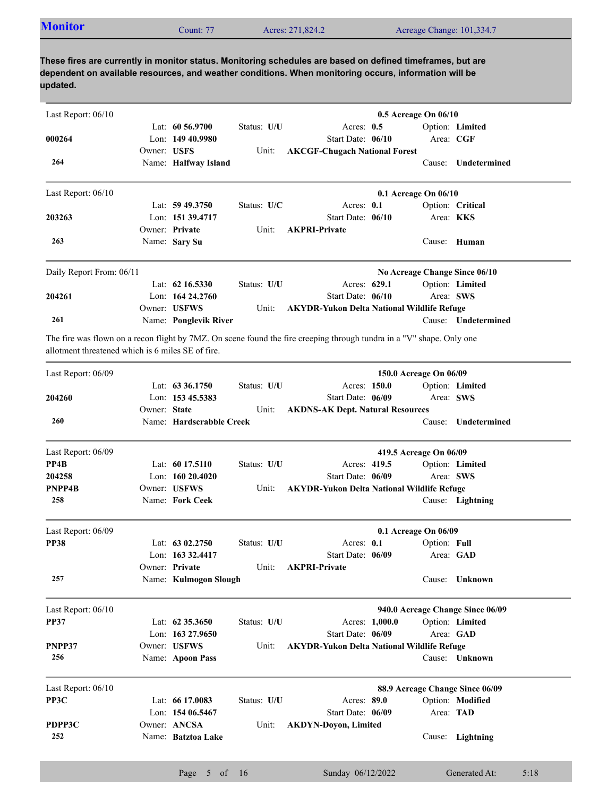| <b>Monitor</b><br>Acres: 271,824.2<br>Acreage Change: 101,334.7<br>Count: 77 |  |
|------------------------------------------------------------------------------|--|
|------------------------------------------------------------------------------|--|

| Last Report: 06/10                                |              |                          |             |                                                                                                                       | 0.5 Acreage On 06/10             |                     |
|---------------------------------------------------|--------------|--------------------------|-------------|-----------------------------------------------------------------------------------------------------------------------|----------------------------------|---------------------|
|                                                   |              | Lat: $60\,56.9700$       | Status: U/U | Acres: $0.5$                                                                                                          |                                  | Option: Limited     |
| 000264                                            |              | Lon: 149 40.9980         |             | Start Date: 06/10                                                                                                     | Area: CGF                        |                     |
|                                                   | Owner: USFS  |                          | Unit:       | <b>AKCGF-Chugach National Forest</b>                                                                                  |                                  |                     |
| 264                                               |              | Name: Halfway Island     |             |                                                                                                                       | Cause:                           | Undetermined        |
| Last Report: 06/10                                |              |                          |             |                                                                                                                       | 0.1 Acreage On 06/10             |                     |
|                                                   |              | Lat: $59\,49.3750$       | Status: U/C | Acres: 0.1                                                                                                            |                                  | Option: Critical    |
| 203263                                            |              | Lon: 151 39.4717         |             | Start Date: 06/10                                                                                                     | Area: KKS                        |                     |
|                                                   |              | Owner: Private           | Unit:       | <b>AKPRI-Private</b>                                                                                                  |                                  |                     |
| 263                                               |              | Name: Sary Su            |             |                                                                                                                       |                                  | Cause: Human        |
| Daily Report From: 06/11                          |              |                          |             |                                                                                                                       | No Acreage Change Since 06/10    |                     |
|                                                   |              | Lat: $62\,16.5330$       | Status: U/U | Acres: 629.1                                                                                                          |                                  | Option: Limited     |
| 204261                                            |              | Lon: $16424.2760$        |             | Start Date: 06/10                                                                                                     | Area: SWS                        |                     |
|                                                   |              | Owner: USFWS             | Unit:       | <b>AKYDR-Yukon Delta National Wildlife Refuge</b>                                                                     |                                  |                     |
| 261                                               |              | Name: Ponglevik River    |             |                                                                                                                       |                                  | Cause: Undetermined |
| allotment threatened which is 6 miles SE of fire. |              |                          |             | The fire was flown on a recon flight by 7MZ. On scene found the fire creeping through tundra in a "V" shape. Only one |                                  |                     |
| Last Report: 06/09                                |              |                          |             |                                                                                                                       | 150.0 Acreage On 06/09           |                     |
|                                                   |              | Lat: 63 36.1750          | Status: U/U | Acres: 150.0                                                                                                          |                                  | Option: Limited     |
| 204260                                            |              | Lon: 153 45.5383         |             | Start Date: 06/09                                                                                                     | Area: SWS                        |                     |
|                                                   | Owner: State |                          | Unit:       | <b>AKDNS-AK Dept. Natural Resources</b>                                                                               |                                  |                     |
| 260                                               |              | Name: Hardscrabble Creek |             |                                                                                                                       | Cause:                           | Undetermined        |
| Last Report: 06/09                                |              |                          |             |                                                                                                                       | 419.5 Acreage On 06/09           |                     |
| PP4B                                              |              | Lat: $6017.5110$         | Status: U/U | Acres: 419.5                                                                                                          |                                  | Option: Limited     |
| 204258                                            |              | Lon: 160 20.4020         |             | Start Date: 06/09                                                                                                     | Area: SWS                        |                     |
| PNPP4B                                            |              | Owner: USFWS             | Unit:       | <b>AKYDR-Yukon Delta National Wildlife Refuge</b>                                                                     |                                  |                     |
| 258                                               |              | Name: Fork Ceek          |             |                                                                                                                       |                                  | Cause: Lightning    |
| Last Report: 06/09                                |              |                          |             |                                                                                                                       | 0.1 Acreage On 06/09             |                     |
| <b>PP38</b>                                       |              | Lat: $6302,2750$         | Status: U/U | Acres: 0.1                                                                                                            | Option: Full                     |                     |
|                                                   |              | Lon: $16332.4417$        |             | Start Date: 06/09                                                                                                     |                                  | Area: GAD           |
|                                                   |              | Owner: Private           | Unit:       | <b>AKPRI-Private</b>                                                                                                  |                                  |                     |
| 257                                               |              | Name: Kulmogon Slough    |             |                                                                                                                       |                                  | Cause: Unknown      |
| Last Report: 06/10                                |              |                          |             |                                                                                                                       | 940.0 Acreage Change Since 06/09 |                     |
| <b>PP37</b>                                       |              | Lat: 62 35.3650          | Status: U/U | Acres: 1,000.0                                                                                                        |                                  | Option: Limited     |
|                                                   |              | Lon: 163 27.9650         |             | Start Date: 06/09                                                                                                     |                                  | Area: GAD           |
| PNPP37                                            |              | Owner: USFWS             | Unit:       | <b>AKYDR-Yukon Delta National Wildlife Refuge</b>                                                                     |                                  |                     |
| 256                                               |              | Name: Apoon Pass         |             |                                                                                                                       |                                  | Cause: Unknown      |
| Last Report: 06/10                                |              |                          |             |                                                                                                                       | 88.9 Acreage Change Since 06/09  |                     |
| PP3C                                              |              | Lat: 66 17.0083          | Status: U/U | Acres: 89.0                                                                                                           |                                  | Option: Modified    |
|                                                   |              | Lon: 154 06.5467         |             | Start Date: 06/09                                                                                                     | Area: TAD                        |                     |
| PDPP3C                                            |              | Owner: ANCSA             | Unit:       | <b>AKDYN-Doyon, Limited</b>                                                                                           |                                  |                     |
| 252                                               |              | Name: Batztoa Lake       |             |                                                                                                                       |                                  | Cause: Lightning    |
|                                                   |              |                          |             |                                                                                                                       |                                  |                     |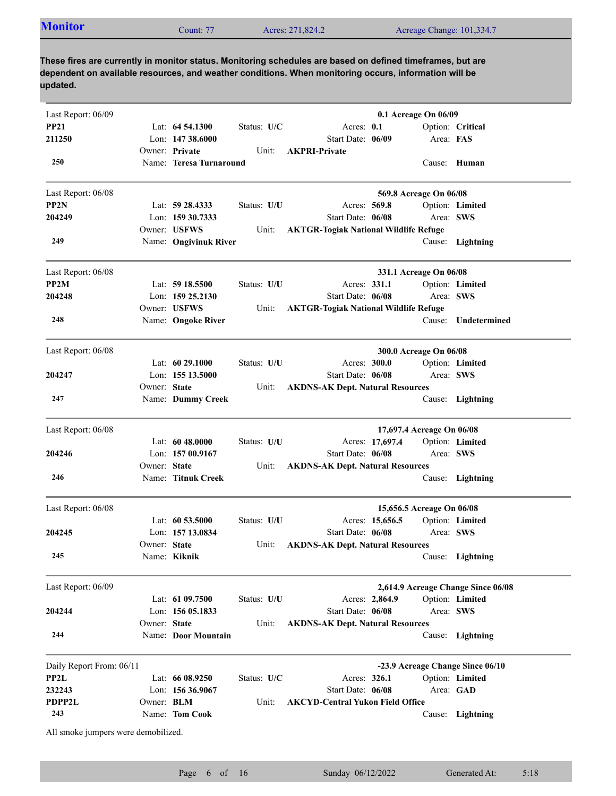| <b>Monitor</b><br>Acres: 271,824.2<br>Acreage Change: 101,334.7<br>Count: 77 |  |
|------------------------------------------------------------------------------|--|
|------------------------------------------------------------------------------|--|

| Last Report: 06/09                  |                   |                         |             |                                              | 0.1 Acreage On 06/09             |                                    |
|-------------------------------------|-------------------|-------------------------|-------------|----------------------------------------------|----------------------------------|------------------------------------|
| <b>PP21</b>                         |                   | Lat: $64\,54.1300$      | Status: U/C | Acres: 0.1                                   |                                  | Option: Critical                   |
| 211250                              |                   | Lon: $14738.6000$       |             | Start Date: 06/09                            | Area: FAS                        |                                    |
|                                     |                   | Owner: Private          | Unit:       | <b>AKPRI-Private</b>                         |                                  |                                    |
| 250                                 |                   | Name: Teresa Turnaround |             |                                              |                                  | Cause: Human                       |
| Last Report: 06/08                  |                   |                         |             |                                              | 569.8 Acreage On 06/08           |                                    |
| PP <sub>2N</sub>                    |                   | Lat: 59 28.4333         | Status: U/U | Acres: 569.8                                 |                                  | Option: Limited                    |
| 204249                              |                   | Lon: 159 30.7333        |             | Start Date: 06/08                            |                                  | Area: SWS                          |
|                                     |                   | Owner: USFWS            | Unit:       | <b>AKTGR-Togiak National Wildlife Refuge</b> |                                  |                                    |
| 249                                 |                   | Name: Ongivinuk River   |             |                                              |                                  | Cause: Lightning                   |
| Last Report: 06/08                  |                   |                         |             |                                              | 331.1 Acreage On 06/08           |                                    |
| PP2M                                |                   | Lat: $5918.5500$        | Status: U/U | Acres: 331.1                                 |                                  | Option: Limited                    |
| 204248                              |                   | Lon: 159 25.2130        |             | Start Date: 06/08                            |                                  | Area: SWS                          |
|                                     |                   | Owner: USFWS            | Unit:       | <b>AKTGR-Togiak National Wildlife Refuge</b> |                                  |                                    |
| 248                                 |                   | Name: Ongoke River      |             |                                              | Cause:                           | Undetermined                       |
| Last Report: 06/08                  |                   |                         |             |                                              | 300.0 Acreage On 06/08           |                                    |
|                                     |                   | Lat: $6029.1000$        | Status: U/U | Acres: 300.0                                 |                                  | Option: Limited                    |
| 204247                              |                   | Lon: 155 13.5000        |             | Start Date: 06/08                            |                                  | Area: SWS                          |
|                                     | Owner: State      |                         | Unit:       | <b>AKDNS-AK Dept. Natural Resources</b>      |                                  |                                    |
| 247                                 |                   | Name: Dummy Creek       |             |                                              |                                  | Cause: Lightning                   |
| Last Report: 06/08                  |                   |                         |             |                                              | 17,697.4 Acreage On 06/08        |                                    |
|                                     |                   | Lat: 60 48.0000         | Status: U/U | Acres: 17,697.4                              |                                  | Option: Limited                    |
| 204246                              |                   | Lon: 157 00.9167        |             | Start Date: 06/08                            |                                  | Area: SWS                          |
|                                     | Owner: State      |                         | Unit:       | <b>AKDNS-AK Dept. Natural Resources</b>      |                                  |                                    |
| 246                                 |                   | Name: Titnuk Creek      |             |                                              |                                  | Cause: Lightning                   |
| Last Report: 06/08                  |                   |                         |             |                                              | 15,656.5 Acreage On 06/08        |                                    |
|                                     |                   | Lat: $60\,53.5000$      | Status: U/U | Acres: 15,656.5                              |                                  | Option: Limited                    |
| 204245                              |                   | Lon: 157 13.0834        |             | Start Date: 06/08                            |                                  | Area: SWS                          |
|                                     | Owner: State      |                         | Unit:       | <b>AKDNS-AK Dept. Natural Resources</b>      |                                  |                                    |
| 245                                 |                   | Name: Kiknik            |             |                                              |                                  | Cause: Lightning                   |
| Last Report: 06/09                  |                   |                         |             |                                              |                                  | 2,614.9 Acreage Change Since 06/08 |
|                                     |                   | Lat: 61 09.7500         | Status: U/U | Acres: 2,864.9                               |                                  | Option: Limited                    |
| 204244                              |                   | Lon: $15605.1833$       |             | Start Date: 06/08                            |                                  | Area: SWS                          |
|                                     | Owner: State      |                         | Unit:       | <b>AKDNS-AK Dept. Natural Resources</b>      |                                  |                                    |
| 244                                 |                   | Name: Door Mountain     |             |                                              | Cause:                           | Lightning                          |
| Daily Report From: 06/11            |                   |                         |             |                                              | -23.9 Acreage Change Since 06/10 |                                    |
| PP2L                                |                   | Lat: 66 08.9250         | Status: U/C | Acres: 326.1                                 |                                  | Option: Limited                    |
| 232243                              |                   | Lon: $15636.9067$       |             | Start Date: 06/08                            |                                  | Area: GAD                          |
| PDPP2L                              | Owner: <b>BLM</b> |                         | Unit:       | <b>AKCYD-Central Yukon Field Office</b>      |                                  |                                    |
| 243                                 |                   | Name: Tom Cook          |             |                                              |                                  | Cause: Lightning                   |
| All smoke jumpers were demobilized. |                   |                         |             |                                              |                                  |                                    |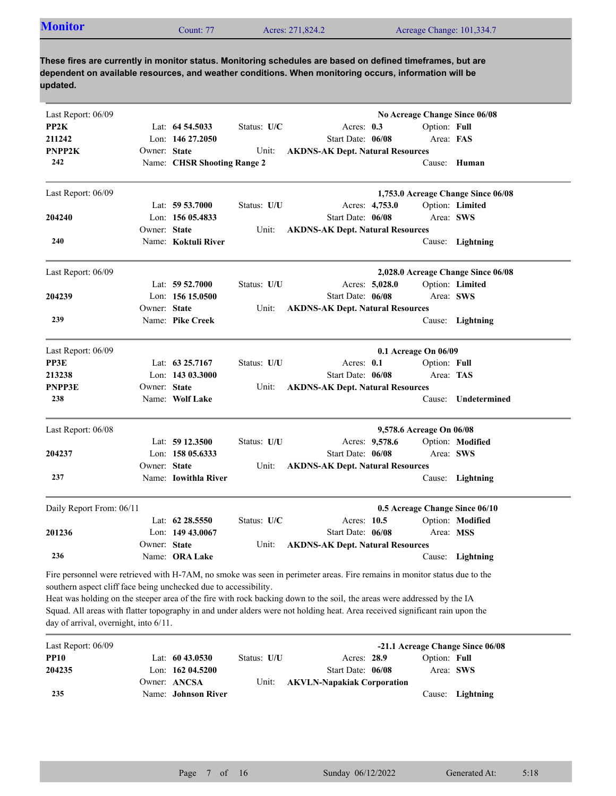| <b>Monitor</b><br>Acres: 271,824.2<br>Acreage Change: 101,334.7<br>Count: $77$ |  |
|--------------------------------------------------------------------------------|--|

| Last Report: 06/09                                                                                           |              |                             |             |                                                                                                                                                                                                                                                                                                                                                                                     |                | No Acreage Change Since 06/08  |                                    |
|--------------------------------------------------------------------------------------------------------------|--------------|-----------------------------|-------------|-------------------------------------------------------------------------------------------------------------------------------------------------------------------------------------------------------------------------------------------------------------------------------------------------------------------------------------------------------------------------------------|----------------|--------------------------------|------------------------------------|
| PP2K                                                                                                         |              | Lat: 64 54.5033             | Status: U/C | Acres: 0.3                                                                                                                                                                                                                                                                                                                                                                          |                | Option: Full                   |                                    |
| 211242                                                                                                       |              | Lon: 146 27.2050            |             | Start Date: 06/08                                                                                                                                                                                                                                                                                                                                                                   |                | Area: FAS                      |                                    |
| PNPP2K                                                                                                       | Owner: State |                             | Unit:       | <b>AKDNS-AK Dept. Natural Resources</b>                                                                                                                                                                                                                                                                                                                                             |                |                                |                                    |
| 242                                                                                                          |              | Name: CHSR Shooting Range 2 |             |                                                                                                                                                                                                                                                                                                                                                                                     |                |                                | Cause: Human                       |
| Last Report: 06/09                                                                                           |              |                             |             |                                                                                                                                                                                                                                                                                                                                                                                     |                |                                | 1,753.0 Acreage Change Since 06/08 |
|                                                                                                              |              | Lat: 59 53.7000             | Status: U/U |                                                                                                                                                                                                                                                                                                                                                                                     | Acres: 4,753.0 |                                | Option: Limited                    |
| 204240                                                                                                       |              | Lon: $15605.4833$           |             | Start Date: 06/08                                                                                                                                                                                                                                                                                                                                                                   |                | Area: SWS                      |                                    |
|                                                                                                              | Owner: State |                             | Unit:       | <b>AKDNS-AK Dept. Natural Resources</b>                                                                                                                                                                                                                                                                                                                                             |                |                                |                                    |
| 240                                                                                                          |              | Name: Koktuli River         |             |                                                                                                                                                                                                                                                                                                                                                                                     |                |                                | Cause: Lightning                   |
| Last Report: 06/09                                                                                           |              |                             |             |                                                                                                                                                                                                                                                                                                                                                                                     |                |                                | 2,028.0 Acreage Change Since 06/08 |
|                                                                                                              |              | Lat: $59\,52.7000$          | Status: U/U |                                                                                                                                                                                                                                                                                                                                                                                     | Acres: 5,028.0 |                                | Option: Limited                    |
| 204239                                                                                                       |              | Lon: $15615.0500$           |             | Start Date: 06/08                                                                                                                                                                                                                                                                                                                                                                   |                |                                | Area: SWS                          |
|                                                                                                              | Owner: State |                             | Unit:       | <b>AKDNS-AK Dept. Natural Resources</b>                                                                                                                                                                                                                                                                                                                                             |                |                                |                                    |
| 239                                                                                                          |              | Name: Pike Creek            |             |                                                                                                                                                                                                                                                                                                                                                                                     |                |                                | Cause: Lightning                   |
| Last Report: 06/09                                                                                           |              |                             |             |                                                                                                                                                                                                                                                                                                                                                                                     |                | 0.1 Acreage On 06/09           |                                    |
| PP3E                                                                                                         |              | Lat: $63\,25.7167$          | Status: U/U | Acres: 0.1                                                                                                                                                                                                                                                                                                                                                                          |                | Option: Full                   |                                    |
| 213238                                                                                                       |              | Lon: 143 03.3000            |             | Start Date: 06/08                                                                                                                                                                                                                                                                                                                                                                   |                | Area: TAS                      |                                    |
| <b>PNPP3E</b>                                                                                                | Owner: State |                             | Unit:       | <b>AKDNS-AK Dept. Natural Resources</b>                                                                                                                                                                                                                                                                                                                                             |                |                                |                                    |
| 238                                                                                                          |              | Name: Wolf Lake             |             |                                                                                                                                                                                                                                                                                                                                                                                     |                | Cause:                         | Undetermined                       |
| Last Report: 06/08                                                                                           |              |                             |             |                                                                                                                                                                                                                                                                                                                                                                                     |                | 9,578.6 Acreage On 06/08       |                                    |
|                                                                                                              |              | Lat: 59 12.3500             | Status: U/U |                                                                                                                                                                                                                                                                                                                                                                                     | Acres: 9,578.6 |                                | Option: Modified                   |
| 204237                                                                                                       |              | Lon: 158 05.6333            |             | Start Date: 06/08                                                                                                                                                                                                                                                                                                                                                                   |                |                                | Area: SWS                          |
|                                                                                                              | Owner: State |                             | Unit:       | <b>AKDNS-AK Dept. Natural Resources</b>                                                                                                                                                                                                                                                                                                                                             |                |                                |                                    |
| 237                                                                                                          |              | Name: Iowithla River        |             |                                                                                                                                                                                                                                                                                                                                                                                     |                |                                | Cause: Lightning                   |
| Daily Report From: 06/11                                                                                     |              |                             |             |                                                                                                                                                                                                                                                                                                                                                                                     |                | 0.5 Acreage Change Since 06/10 |                                    |
|                                                                                                              |              | Lat: 62 28.5550             | Status: U/C | Acres: 10.5                                                                                                                                                                                                                                                                                                                                                                         |                |                                | Option: Modified                   |
| 201236                                                                                                       |              | Lon: 149 43.0067            |             | Start Date: 06/08                                                                                                                                                                                                                                                                                                                                                                   |                | Area: MSS                      |                                    |
|                                                                                                              | Owner: State |                             | Unit:       | <b>AKDNS-AK Dept. Natural Resources</b>                                                                                                                                                                                                                                                                                                                                             |                |                                |                                    |
| 236                                                                                                          |              | Name: ORA Lake              |             |                                                                                                                                                                                                                                                                                                                                                                                     |                |                                | Cause: Lightning                   |
| southern aspect cliff face being unchecked due to accessibility.<br>day of arrival, overnight, into $6/11$ . |              |                             |             | Fire personnel were retrieved with H-7AM, no smoke was seen in perimeter areas. Fire remains in monitor status due to the<br>Heat was holding on the steeper area of the fire with rock backing down to the soil, the areas were addressed by the IA<br>Squad. All areas with flatter topography in and under alders were not holding heat. Area received significant rain upon the |                |                                |                                    |

| Last Report: 06/09 |                     |             |                                  |              | -21.1 Acreage Change Since 06/08 |
|--------------------|---------------------|-------------|----------------------------------|--------------|----------------------------------|
| <b>PP10</b>        | Lat: $60\,43.0530$  | Status: U/U | Acres: 28.9                      | Option: Full |                                  |
| 204235             | Lon: $16204.5200$   |             | Start Date: 06/08                | Area: SWS    |                                  |
|                    | Owner: ANCSA        |             | Unit: AKVLN-Napakiak Corporation |              |                                  |
| 235                | Name: Johnson River |             |                                  |              | Cause: Lightning                 |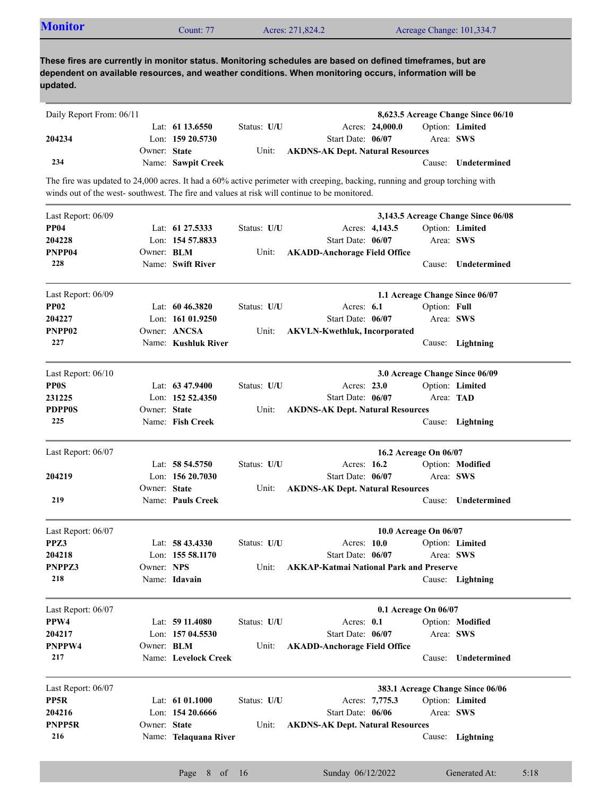| updated.                 |              |                      |             | These fires are currently in monitor status. Monitoring schedules are based on defined timeframes, but are<br>dependent on available resources, and weather conditions. When monitoring occurs, information will be        |                       |                                    |
|--------------------------|--------------|----------------------|-------------|----------------------------------------------------------------------------------------------------------------------------------------------------------------------------------------------------------------------------|-----------------------|------------------------------------|
| Daily Report From: 06/11 |              |                      |             |                                                                                                                                                                                                                            |                       | 8,623.5 Acreage Change Since 06/10 |
|                          |              | Lat: $61\,13.6550$   | Status: U/U | Acres: 24,000.0                                                                                                                                                                                                            |                       | Option: Limited                    |
| 204234                   |              | Lon: 159 20.5730     |             | Start Date: 06/07                                                                                                                                                                                                          |                       | Area: SWS                          |
|                          | Owner: State |                      | Unit:       | <b>AKDNS-AK Dept. Natural Resources</b>                                                                                                                                                                                    |                       |                                    |
| 234                      |              | Name: Sawpit Creek   |             |                                                                                                                                                                                                                            |                       | Cause: Undetermined                |
|                          |              |                      |             | The fire was updated to 24,000 acres. It had a 60% active perimeter with creeping, backing, running and group torching with<br>winds out of the west-southwest. The fire and values at risk will continue to be monitored. |                       |                                    |
| Last Report: 06/09       |              |                      |             |                                                                                                                                                                                                                            |                       | 3,143.5 Acreage Change Since 06/08 |
| <b>PP04</b>              |              | Lat: $61\,27.5333$   | Status: U/U | Acres: 4,143.5                                                                                                                                                                                                             |                       | Option: Limited                    |
| 204228                   |              | Lon: 154 57.8833     |             | Start Date: 06/07                                                                                                                                                                                                          |                       | Area: SWS                          |
| PNPP04                   | Owner: BLM   |                      | Unit:       | <b>AKADD-Anchorage Field Office</b>                                                                                                                                                                                        |                       |                                    |
| 228                      |              | Name: Swift River    |             |                                                                                                                                                                                                                            | Cause:                | Undetermined                       |
| Last Report: 06/09       |              |                      |             |                                                                                                                                                                                                                            |                       | 1.1 Acreage Change Since 06/07     |
| <b>PP02</b>              |              | Lat: $6046.3820$     | Status: U/U | Acres: 6.1                                                                                                                                                                                                                 | Option: Full          |                                    |
| 204227                   |              | Lon: $16101.9250$    |             | Start Date: 06/07                                                                                                                                                                                                          |                       | Area: SWS                          |
| PNPP02                   |              | Owner: ANCSA         | Unit:       | <b>AKVLN-Kwethluk, Incorporated</b>                                                                                                                                                                                        |                       |                                    |
| 227                      |              | Name: Kushluk River  |             |                                                                                                                                                                                                                            |                       | Cause: Lightning                   |
| Last Report: 06/10       |              |                      |             |                                                                                                                                                                                                                            |                       | 3.0 Acreage Change Since 06/09     |
| <b>PPOS</b>              |              | Lat: $63\,47.9400$   | Status: U/U | Acres: 23.0                                                                                                                                                                                                                |                       | Option: Limited                    |
| 231225                   |              | Lon: $15252.4350$    |             | Start Date: 06/07                                                                                                                                                                                                          |                       | Area: TAD                          |
| <b>PDPP0S</b>            | Owner: State |                      | Unit:       | <b>AKDNS-AK Dept. Natural Resources</b>                                                                                                                                                                                    |                       |                                    |
| 225                      |              | Name: Fish Creek     |             |                                                                                                                                                                                                                            |                       | Cause: Lightning                   |
| Last Report: 06/07       |              |                      |             |                                                                                                                                                                                                                            | 16.2 Acreage On 06/07 |                                    |
|                          |              | Lat: 58 54.5750      | Status: U/U | Acres: 16.2                                                                                                                                                                                                                |                       | Option: Modified                   |
| 204219                   |              | Lon: 156 20.7030     |             | Start Date: 06/07                                                                                                                                                                                                          |                       | Area: SWS                          |
|                          | Owner: State |                      | Unit:       | <b>AKDNS-AK Dept. Natural Resources</b>                                                                                                                                                                                    |                       |                                    |
| 219                      |              | Name: Pauls Creek    |             |                                                                                                                                                                                                                            |                       | Cause: Undetermined                |
| Last Report: 06/07       |              |                      |             |                                                                                                                                                                                                                            | 10.0 Acreage On 06/07 |                                    |
| PPZ3                     |              | Lat: $58\,43.4330$   | Status: U/U | Acres: 10.0                                                                                                                                                                                                                |                       | Option: Limited                    |
| 204218                   |              | Lon: 155 58.1170     |             | Start Date: 06/07                                                                                                                                                                                                          |                       | Area: SWS                          |
| PNPPZ3                   | Owner: NPS   |                      | Unit:       | <b>AKKAP-Katmai National Park and Preserve</b>                                                                                                                                                                             |                       |                                    |
| 218                      |              | Name: Idavain        |             |                                                                                                                                                                                                                            |                       | Cause: Lightning                   |
| Last Report: 06/07       |              |                      |             |                                                                                                                                                                                                                            | 0.1 Acreage On 06/07  |                                    |
| PPW4                     |              | Lat: 59 11.4080      | Status: U/U | Acres: 0.1                                                                                                                                                                                                                 |                       | Option: Modified                   |
| 204217                   |              | Lon: 157 04.5530     |             | Start Date: 06/07                                                                                                                                                                                                          |                       | Area: SWS                          |
| PNPPW4                   | Owner: BLM   |                      | Unit:       | <b>AKADD-Anchorage Field Office</b>                                                                                                                                                                                        |                       |                                    |
|                          |              | Name: Levelock Creek |             |                                                                                                                                                                                                                            |                       | Cause: Undetermined                |

Name: **Telaquana River** Lon: **154 20.6666** Start Date: Lat: **61 01.1000** Acres: Status: **U/U 7,775.3** Cause: **Lightning** Start Date: 06/06 Owner: State Unit: Area: **SWS** Option: **Limited State AKDNS-AK Dept. Natural Resources 216 204216 PNPP5R PP5R**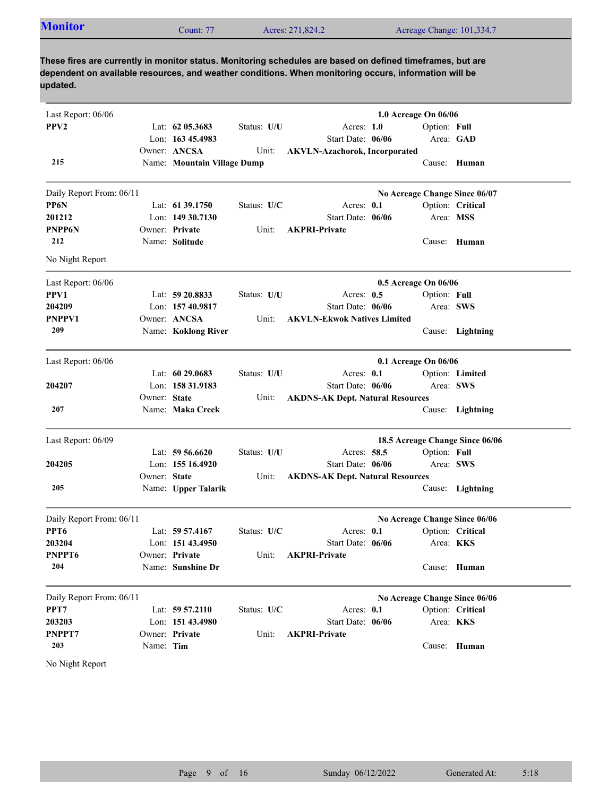|--|

| Last Report: 06/06       |              |                             |             |                                         | 1.0 Acreage On 06/06 |                                 |
|--------------------------|--------------|-----------------------------|-------------|-----------------------------------------|----------------------|---------------------------------|
| PPV <sub>2</sub>         |              | Lat: $62$ 05.3683           | Status: U/U | Acres: $1.0$                            | Option: Full         |                                 |
|                          |              | Lon: 163 45.4983            |             | Start Date: 06/06                       |                      | Area: GAD                       |
|                          |              | Owner: ANCSA                | Unit:       | <b>AKVLN-Azachorok, Incorporated</b>    |                      |                                 |
| 215                      |              | Name: Mountain Village Dump |             |                                         |                      | Cause: Human                    |
| Daily Report From: 06/11 |              |                             |             |                                         |                      | No Acreage Change Since 06/07   |
| PP6N                     |              | Lat: $61\,39.1750$          | Status: U/C | Acres: 0.1                              |                      | Option: Critical                |
| 201212                   |              | Lon: $14930.7130$           |             | Start Date: 06/06                       | Area: MSS            |                                 |
| <b>PNPP6N</b>            |              | Owner: Private              | Unit:       | <b>AKPRI-Private</b>                    |                      |                                 |
| 212                      |              | Name: Solitude              |             |                                         |                      | Cause: Human                    |
| No Night Report          |              |                             |             |                                         |                      |                                 |
| Last Report: 06/06       |              |                             |             |                                         | 0.5 Acreage On 06/06 |                                 |
| PPV1                     |              | Lat: $59\,20.8833$          | Status: U/U | Acres: 0.5                              | Option: Full         |                                 |
| 204209                   |              | Lon: 157 40.9817            |             | Start Date: 06/06                       | Area: SWS            |                                 |
| <b>PNPPV1</b>            |              | Owner: ANCSA                | Unit:       | <b>AKVLN-Ekwok Natives Limited</b>      |                      |                                 |
| 209                      |              | Name: Koklong River         |             |                                         |                      | Cause: Lightning                |
| Last Report: 06/06       |              |                             |             |                                         | 0.1 Acreage On 06/06 |                                 |
|                          |              | Lat: 60 29.0683             | Status: U/U | Acres: 0.1                              |                      | Option: Limited                 |
| 204207                   |              | Lon: 158 31.9183            |             | Start Date: 06/06                       | Area: SWS            |                                 |
|                          | Owner: State |                             | Unit:       | <b>AKDNS-AK Dept. Natural Resources</b> |                      |                                 |
| 207                      |              | Name: Maka Creek            |             |                                         |                      | Cause: Lightning                |
| Last Report: 06/09       |              |                             |             |                                         |                      | 18.5 Acreage Change Since 06/06 |
|                          |              | Lat: $59\,56.6620$          | Status: U/U | Acres: 58.5                             | Option: Full         |                                 |
| 204205                   |              | Lon: 155 16.4920            |             | Start Date: 06/06                       | Area: SWS            |                                 |
|                          | Owner: State |                             | Unit:       | <b>AKDNS-AK Dept. Natural Resources</b> |                      |                                 |
| 205                      |              | Name: Upper Talarik         |             |                                         |                      | Cause: Lightning                |
| Daily Report From: 06/11 |              |                             |             |                                         |                      | No Acreage Change Since 06/06   |
| PPT <sub>6</sub>         |              | Lat: $59\,57.4167$          | Status: U/C | Acres: $0.1$                            |                      | Option: Critical                |
| 203204                   |              | Lon: 151 43.4950            |             | Start Date: 06/06                       | Area: KKS            |                                 |
| PNPPT6                   |              | Owner: Private              | Unit:       | <b>AKPRI-Private</b>                    |                      |                                 |
| 204                      |              | Name: Sunshine Dr           |             |                                         |                      | Cause: Human                    |
| Daily Report From: 06/11 |              |                             |             |                                         |                      | No Acreage Change Since 06/06   |
| PPT7                     |              | Lat: 59 57.2110             | Status: U/C | Acres: 0.1                              |                      | Option: Critical                |
| 203203                   |              | Lon: 151 43.4980            |             | Start Date: 06/06                       | Area: KKS            |                                 |
| PNPPT7                   |              | Owner: Private              | Unit:       | <b>AKPRI-Private</b>                    |                      |                                 |
| 203                      | Name: Tim    |                             |             |                                         |                      | Cause: Human                    |
| No Night Report          |              |                             |             |                                         |                      |                                 |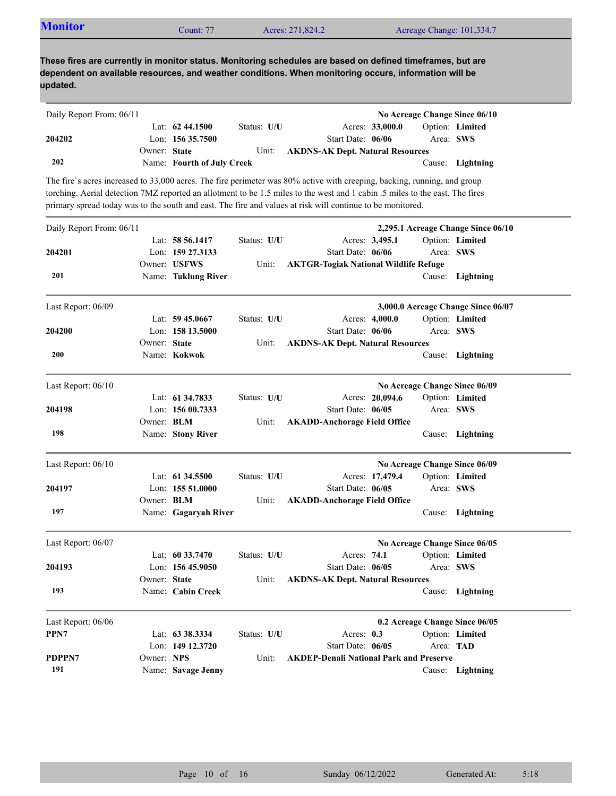| <b>Monitor</b> | Count: 77 | Acres: 271,824.2 | Acreage Change: 101,334.7 |  |
|----------------|-----------|------------------|---------------------------|--|
|                |           |                  |                           |  |

| Daily Report From: 06/11 |              |                            |             |                                         |                 |           | No Acreage Change Since 06/10 |
|--------------------------|--------------|----------------------------|-------------|-----------------------------------------|-----------------|-----------|-------------------------------|
|                          |              | Lat: $62\,44.1500$         | Status: U/U |                                         | Acres: 33,000.0 |           | Option: Limited               |
| 204202                   |              | Lon: $15635.7500$          |             | Start Date: 06/06                       |                 | Area: SWS |                               |
|                          | Owner: State |                            | Unit:       | <b>AKDNS-AK Dept. Natural Resources</b> |                 |           |                               |
| 202                      |              | Name: Fourth of July Creek |             |                                         |                 |           | Cause: Lightning              |

The fire`s acres increased to 33,000 acres. The fire perimeter was 80% active with creeping, backing, running, and group torching. Aerial detection 7MZ reported an allotment to be 1.5 miles to the west and 1 cabin .5 miles to the east. The fires primary spread today was to the south and east. The fire and values at risk will continue to be monitored.

| Daily Report From: 06/11 |                   |                      |             |                                                |                 |           | 2,295.1 Acreage Change Since 06/10 |
|--------------------------|-------------------|----------------------|-------------|------------------------------------------------|-----------------|-----------|------------------------------------|
|                          |                   | Lat: 58 56.1417      | Status: U/U |                                                | Acres: 3,495.1  |           | Option: Limited                    |
| 204201                   |                   | Lon: 159 27.3133     |             | Start Date: 06/06                              |                 |           | Area: SWS                          |
|                          |                   | Owner: USFWS         | Unit:       | <b>AKTGR-Togiak National Wildlife Refuge</b>   |                 |           |                                    |
| 201                      |                   | Name: Tuklung River  |             |                                                |                 | Cause:    | Lightning                          |
| Last Report: 06/09       |                   |                      |             |                                                |                 |           | 3,000.0 Acreage Change Since 06/07 |
|                          |                   | Lat: $59\,45.0667$   | Status: U/U |                                                | Acres: 4,000.0  |           | Option: Limited                    |
| 204200                   |                   | Lon: 158 13.5000     |             | Start Date: 06/06                              |                 |           | Area: SWS                          |
|                          | Owner: State      |                      | Unit:       | <b>AKDNS-AK Dept. Natural Resources</b>        |                 |           |                                    |
| <b>200</b>               |                   | Name: Kokwok         |             |                                                |                 |           | Cause: Lightning                   |
| Last Report: $06/10$     |                   |                      |             |                                                |                 |           | No Acreage Change Since 06/09      |
|                          |                   | Lat: 61 34,7833      | Status: U/U |                                                | Acres: 20,094.6 |           | Option: Limited                    |
| 204198                   |                   | Lon: $15600.7333$    |             | Start Date: 06/05                              |                 |           | Area: SWS                          |
|                          | Owner: BLM        |                      | Unit:       | <b>AKADD-Anchorage Field Office</b>            |                 |           |                                    |
| 198                      |                   | Name: Stony River    |             |                                                |                 |           | Cause: Lightning                   |
| Last Report: 06/10       |                   |                      |             |                                                |                 |           | No Acreage Change Since 06/09      |
|                          |                   | Lat: 61 34.5500      | Status: U/U |                                                | Acres: 17,479.4 |           | Option: Limited                    |
| 204197                   |                   | Lon: $15551.0000$    |             | Start Date: 06/05                              |                 |           | Area: SWS                          |
|                          | Owner: <b>BLM</b> |                      | Unit:       | <b>AKADD-Anchorage Field Office</b>            |                 |           |                                    |
| 197                      |                   | Name: Gagaryah River |             |                                                |                 |           | Cause: Lightning                   |
| Last Report: 06/07       |                   |                      |             |                                                |                 |           | No Acreage Change Since 06/05      |
|                          |                   | Lat: $60\,33.7470$   | Status: U/U | Acres: 74.1                                    |                 |           | Option: Limited                    |
| 204193                   |                   | Lon: 156 45.9050     |             | Start Date: 06/05                              |                 |           | Area: SWS                          |
|                          | Owner: State      |                      | Unit:       | <b>AKDNS-AK Dept. Natural Resources</b>        |                 |           |                                    |
| 193                      |                   | Name: Cabin Creek    |             |                                                |                 |           | Cause: Lightning                   |
| Last Report: 06/06       |                   |                      |             |                                                |                 |           | 0.2 Acreage Change Since 06/05     |
| PPN7                     |                   | Lat: 63 38.3334      | Status: U/U | Acres: 0.3                                     |                 |           | Option: Limited                    |
|                          |                   | Lon: 149 12.3720     |             | Start Date: 06/05                              |                 | Area: TAD |                                    |
| <b>PDPPN7</b>            | Owner: NPS        |                      | Unit:       | <b>AKDEP-Denali National Park and Preserve</b> |                 |           |                                    |
| 191                      |                   | Name: Savage Jenny   |             |                                                |                 |           | Cause: Lightning                   |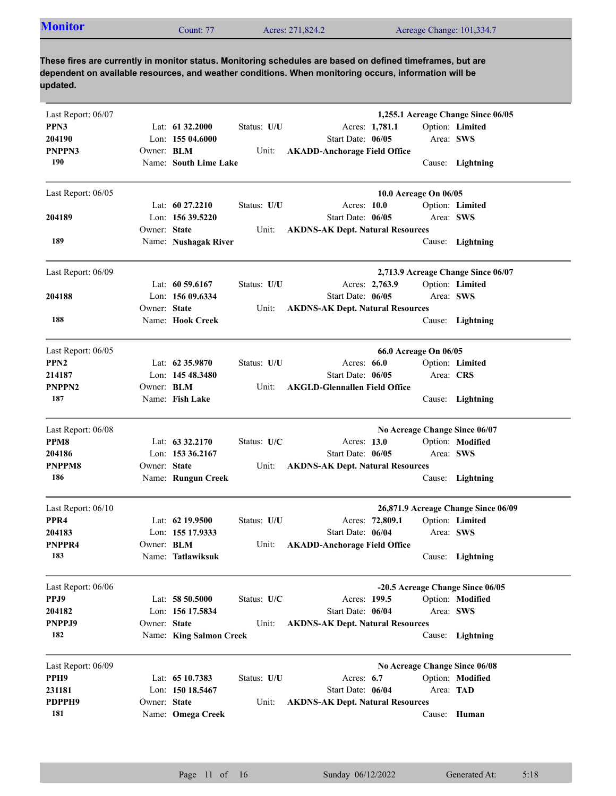| <b>Monitor</b><br>Count: $77$<br>Acres: 271,824.2<br>Acreage Change: 101,334.7 |
|--------------------------------------------------------------------------------|
|--------------------------------------------------------------------------------|

| Last Report: 06/07                     |                   |                         |             | 1,255.1 Acreage Change Since 06/05                      |  |
|----------------------------------------|-------------------|-------------------------|-------------|---------------------------------------------------------|--|
| PPN3                                   |                   | Lat: 61 32.2000         | Status: U/U | Option: Limited<br>Acres: 1,781.1                       |  |
| 204190                                 |                   | Lon: $15504.6000$       |             | Start Date: 06/05<br>Area: SWS                          |  |
|                                        |                   |                         |             |                                                         |  |
| PNPPN3                                 | Owner: <b>BLM</b> |                         | Unit:       | <b>AKADD-Anchorage Field Office</b>                     |  |
| 190                                    |                   | Name: South Lime Lake   |             | Cause: Lightning                                        |  |
| Last Report: 06/05                     |                   |                         |             | 10.0 Acreage On 06/05                                   |  |
|                                        |                   | Lat: $60\,27.2210$      | Status: U/U | Acres: 10.0<br>Option: Limited                          |  |
| 204189                                 |                   | Lon: 156 39.5220        |             | Start Date: 06/05<br>Area: SWS                          |  |
|                                        | Owner: State      |                         | Unit:       | <b>AKDNS-AK Dept. Natural Resources</b>                 |  |
| 189                                    |                   | Name: Nushagak River    |             | Cause: Lightning                                        |  |
| Last Report: 06/09                     |                   |                         |             | 2,713.9 Acreage Change Since 06/07                      |  |
|                                        |                   | Lat: $60\,59.6167$      | Status: U/U | Option: Limited<br>Acres: 2,763.9                       |  |
| 204188                                 |                   | Lon: 156 09.6334        |             | Start Date: 06/05<br>Area: SWS                          |  |
|                                        | Owner: State      |                         | Unit:       | <b>AKDNS-AK Dept. Natural Resources</b>                 |  |
| 188                                    |                   | Name: Hook Creek        |             | Cause: Lightning                                        |  |
|                                        |                   |                         |             |                                                         |  |
| Last Report: 06/05                     |                   |                         |             | 66.0 Acreage On 06/05                                   |  |
| PPN <sub>2</sub>                       |                   | Lat: $62\,35.9870$      | Status: U/U | Acres: $66.0$<br>Option: Limited                        |  |
| 214187                                 |                   | Lon: 145 48.3480        |             | Start Date: 06/05<br>Area: CRS                          |  |
| PNPPN2                                 | Owner: <b>BLM</b> |                         | Unit:       | <b>AKGLD-Glennallen Field Office</b>                    |  |
| 187                                    |                   | Name: Fish Lake         |             | Cause: Lightning                                        |  |
| Last Report: 06/08                     |                   |                         |             | No Acreage Change Since 06/07                           |  |
| PPM8                                   |                   | Lat: $63\,32.2170$      | Status: U/C | Option: Modified<br>Acres: 13.0                         |  |
| 204186                                 |                   | Lon: 153 36.2167        |             | Start Date: 06/05<br>Area: SWS                          |  |
| PNPPM8                                 | Owner: State      |                         | Unit:       | <b>AKDNS-AK Dept. Natural Resources</b>                 |  |
| 186                                    |                   | Name: Rungun Creek      |             | Cause: Lightning                                        |  |
|                                        |                   |                         |             |                                                         |  |
| Last Report: 06/10<br>PPR <sub>4</sub> |                   |                         |             | 26,871.9 Acreage Change Since 06/09<br>Option: Limited  |  |
|                                        |                   | Lat: 62 19.9500         | Status: U/U | Acres: 72,809.1<br>Start Date: 06/04<br>Area: SWS       |  |
| 204183<br>PNPPR4                       |                   | Lon: 155 17.9333        |             |                                                         |  |
| 183                                    | Owner: <b>BLM</b> | Name: Tatlawiksuk       | Unit:       | <b>AKADD-Anchorage Field Office</b><br>Cause: Lightning |  |
|                                        |                   |                         |             |                                                         |  |
| Last Report: 06/06                     |                   |                         |             | -20.5 Acreage Change Since 06/05                        |  |
| PPJ9                                   |                   | Lat: 58 50.5000         | Status: U/C | Acres: 199.5<br>Option: Modified                        |  |
| 204182                                 |                   | Lon: 156 17.5834        |             | Start Date: 06/04<br>Area: SWS                          |  |
| PNPPJ9                                 | Owner: State      |                         | Unit:       | <b>AKDNS-AK Dept. Natural Resources</b>                 |  |
| 182                                    |                   | Name: King Salmon Creek |             | Cause:<br>Lightning                                     |  |
|                                        |                   |                         |             |                                                         |  |
| Last Report: 06/09                     |                   |                         |             | No Acreage Change Since 06/08                           |  |
| PPH9                                   |                   | Lat: 65 10.7383         | Status: U/U | Acres: $6.7$<br>Option: Modified                        |  |
| 231181                                 |                   | Lon: 150 18.5467        |             | Start Date: 06/04<br>Area: TAD                          |  |
| PDPPH9<br>181                          | Owner: State      |                         | Unit:       | <b>AKDNS-AK Dept. Natural Resources</b>                 |  |
|                                        |                   | Name: Omega Creek       |             | Cause: Human                                            |  |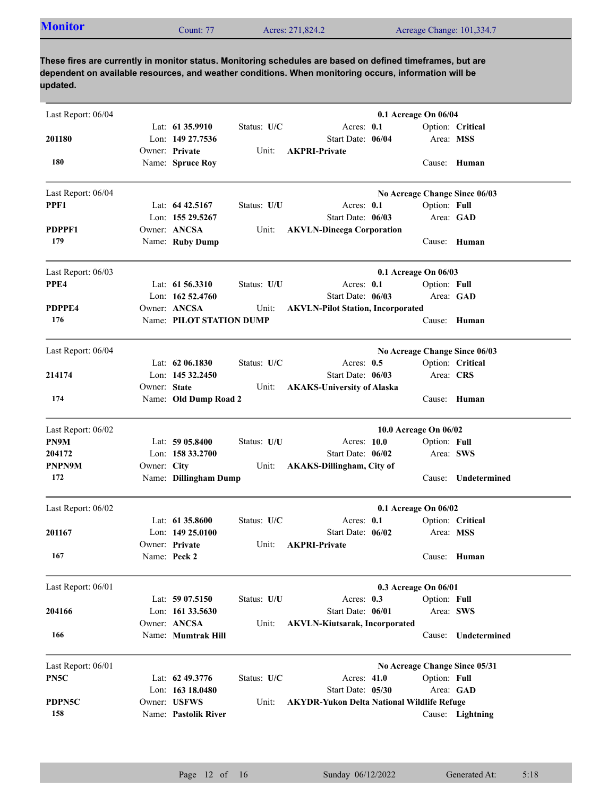|--|

| Last Report: 06/04 |              |                          |             |                                                   | 0.1 Acreage On 06/04  |              |                               |
|--------------------|--------------|--------------------------|-------------|---------------------------------------------------|-----------------------|--------------|-------------------------------|
|                    |              | Lat: $61\,35.9910$       | Status: U/C | Acres: 0.1                                        |                       |              | Option: Critical              |
| 201180             |              | Lon: 149 27.7536         |             | Start Date: 06/04                                 |                       | Area: MSS    |                               |
|                    |              | Owner: Private           | Unit:       | <b>AKPRI-Private</b>                              |                       |              |                               |
| 180                |              | Name: Spruce Roy         |             |                                                   |                       |              | Cause: Human                  |
| Last Report: 06/04 |              |                          |             |                                                   |                       |              | No Acreage Change Since 06/03 |
| PPF1               |              | Lat: $64\,42.5167$       | Status: U/U | Acres: $0.1$                                      |                       | Option: Full |                               |
|                    |              | Lon: 155 29.5267         |             | Start Date: 06/03                                 |                       |              | Area: GAD                     |
| PDPPF1             |              | Owner: ANCSA             | Unit:       | <b>AKVLN-Dineega Corporation</b>                  |                       |              |                               |
| 179                |              | Name: Ruby Dump          |             |                                                   |                       |              | Cause: Human                  |
| Last Report: 06/03 |              |                          |             |                                                   | 0.1 Acreage On 06/03  |              |                               |
| PPE4               |              | Lat: 61 56.3310          | Status: U/U | Acres: 0.1                                        |                       | Option: Full |                               |
|                    |              | Lon: 162 52.4760         |             | Start Date: 06/03                                 |                       |              | Area: GAD                     |
| PDPPE4             |              | Owner: ANCSA             | Unit:       | <b>AKVLN-Pilot Station, Incorporated</b>          |                       |              |                               |
| 176                |              | Name: PILOT STATION DUMP |             |                                                   |                       |              | Cause: Human                  |
| Last Report: 06/04 |              |                          |             |                                                   |                       |              | No Acreage Change Since 06/03 |
|                    |              | Lat: $62\,06.1830$       | Status: U/C | Acres: $0.5$                                      |                       |              | Option: Critical              |
| 214174             |              | Lon: 145 32.2450         |             | Start Date: 06/03                                 |                       | Area: CRS    |                               |
|                    | Owner: State |                          | Unit:       | <b>AKAKS-University of Alaska</b>                 |                       |              |                               |
| 174                |              | Name: Old Dump Road 2    |             |                                                   |                       |              | Cause: Human                  |
| Last Report: 06/02 |              |                          |             |                                                   | 10.0 Acreage On 06/02 |              |                               |
| PN9M               |              | Lat: $5905.8400$         | Status: U/U | Acres: 10.0                                       |                       | Option: Full |                               |
| 204172             |              | Lon: $15833.2700$        |             | Start Date: 06/02                                 |                       | Area: SWS    |                               |
| PNPN9M             | Owner: City  |                          | Unit:       | <b>AKAKS-Dillingham, City of</b>                  |                       |              |                               |
| 172                |              | Name: Dillingham Dump    |             |                                                   |                       | Cause:       | Undetermined                  |
| Last Report: 06/02 |              |                          |             |                                                   | 0.1 Acreage On 06/02  |              |                               |
|                    |              | Lat: $61\,35.8600$       | Status: U/C | Acres: 0.1                                        |                       |              | Option: Critical              |
| 201167             |              | Lon: $14925.0100$        |             | Start Date: 06/02                                 |                       | Area: MSS    |                               |
|                    |              | Owner: Private           | Unit:       | <b>AKPRI-Private</b>                              |                       |              |                               |
| 167                |              | Name: Peck 2             |             |                                                   |                       |              | Cause: Human                  |
| Last Report: 06/01 |              |                          |             |                                                   | 0.3 Acreage On 06/01  |              |                               |
|                    |              | Lat: 59 07.5150          | Status: U/U | Acres: 0.3                                        |                       | Option: Full |                               |
| 204166             |              | Lon: 161 33.5630         |             | Start Date: 06/01                                 |                       |              | Area: SWS                     |
|                    |              | Owner: ANCSA             | Unit:       | <b>AKVLN-Kiutsarak, Incorporated</b>              |                       |              |                               |
| 166                |              | Name: Mumtrak Hill       |             |                                                   |                       | Cause:       | Undetermined                  |
| Last Report: 06/01 |              |                          |             |                                                   |                       |              | No Acreage Change Since 05/31 |
| PN5C               |              | Lat: 62 49.3776          | Status: U/C | Acres: 41.0                                       |                       | Option: Full |                               |
|                    |              | Lon: 163 18.0480         |             | Start Date: 05/30                                 |                       |              | Area: GAD                     |
| PDPN5C             |              | Owner: USFWS             | Unit:       | <b>AKYDR-Yukon Delta National Wildlife Refuge</b> |                       |              |                               |
| 158                |              | Name: Pastolik River     |             |                                                   |                       |              | Cause: Lightning              |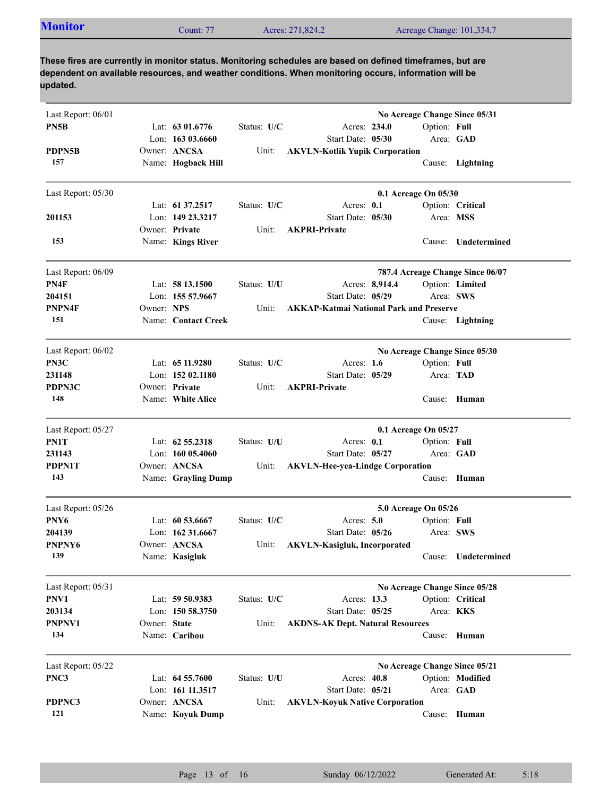| $2$ ount: 77<br>Acres: 271,824.2<br>Acreage Change: 101,334.7 |
|---------------------------------------------------------------|
|---------------------------------------------------------------|

| Last Report: 06/01 |              |                     |             |                                                |              | No Acreage Change Since 05/31    |
|--------------------|--------------|---------------------|-------------|------------------------------------------------|--------------|----------------------------------|
| PN5B               |              | Lat: 63 01.6776     | Status: U/C | Acres: 234.0                                   | Option: Full |                                  |
|                    |              | Lon: $16303.6660$   |             | Start Date: 05/30                              |              | Area: GAD                        |
| PDPN5B             |              | Owner: ANCSA        | Unit:       | <b>AKVLN-Kotlik Yupik Corporation</b>          |              |                                  |
| 157                |              | Name: Hogback Hill  |             |                                                |              | Cause: Lightning                 |
| Last Report: 05/30 |              |                     |             | 0.1 Acreage On 05/30                           |              |                                  |
|                    |              | Lat: 61 37.2517     | Status: U/C | Acres: 0.1                                     |              | Option: Critical                 |
| 201153             |              | Lon: 149 23.3217    |             | Start Date: 05/30                              | Area: MSS    |                                  |
|                    |              | Owner: Private      | Unit:       | <b>AKPRI-Private</b>                           |              |                                  |
| 153                |              | Name: Kings River   |             |                                                |              | Cause: Undetermined              |
| Last Report: 06/09 |              |                     |             |                                                |              | 787.4 Acreage Change Since 06/07 |
| PN4F               |              | Lat: 58 13.1500     | Status: U/U | Acres: 8,914.4                                 |              | Option: Limited                  |
| 204151             |              | Lon: 155 57.9667    |             | Start Date: 05/29                              | Area: SWS    |                                  |
| PNPN4F             | Owner: NPS   |                     | Unit:       | <b>AKKAP-Katmai National Park and Preserve</b> |              |                                  |
| 151                |              | Name: Contact Creek |             |                                                |              | Cause: Lightning                 |
| Last Report: 06/02 |              |                     |             |                                                |              | No Acreage Change Since 05/30    |
| PN3C               |              | Lat: $6511.9280$    | Status: U/C | Acres: $1.6$                                   | Option: Full |                                  |
| 231148             |              | Lon: $15202.1180$   |             | Start Date: 05/29                              | Area: TAD    |                                  |
| PDPN3C             |              | Owner: Private      | Unit:       | <b>AKPRI-Private</b>                           |              |                                  |
| 148                |              | Name: White Alice   |             |                                                | Cause:       | Human                            |
| Last Report: 05/27 |              |                     |             | 0.1 Acreage On 05/27                           |              |                                  |
| PN1T               |              | Lat: $62\,55.2318$  | Status: U/U | Acres: $0.1$                                   | Option: Full |                                  |
| 231143             |              | Lon: $16005.4060$   |             | Start Date: 05/27                              |              | Area: GAD                        |
| PDPN1T             |              | Owner: ANCSA        | Unit:       | <b>AKVLN-Hee-yea-Lindge Corporation</b>        |              |                                  |
| 143                |              | Name: Grayling Dump |             |                                                |              | Cause: Human                     |
| Last Report: 05/26 |              |                     |             | 5.0 Acreage On 05/26                           |              |                                  |
| PNY6               |              | Lat: $60\,53.6667$  | Status: U/C | Acres: $5.0$                                   | Option: Full |                                  |
| 204139             |              | Lon: 162 31.6667    |             | Start Date: 05/26                              |              | Area: SWS                        |
| PNPNY6             |              | Owner: ANCSA        | Unit:       | <b>AKVLN-Kasigluk, Incorporated</b>            |              |                                  |
| 139                |              | Name: Kasigluk      |             |                                                |              | Cause: Undetermined              |
| Last Report: 05/31 |              |                     |             |                                                |              | No Acreage Change Since 05/28    |
| PNV1               |              | Lat: 59 50.9383     | Status: U/C | Acres: 13.3                                    |              | Option: Critical                 |
| 203134             |              | Lon: 150 58.3750    |             | Start Date: 05/25                              | Area: KKS    |                                  |
| PNPNV1             | Owner: State |                     | Unit:       | <b>AKDNS-AK Dept. Natural Resources</b>        |              |                                  |
| 134                |              | Name: Caribou       |             |                                                | Cause:       | Human                            |
| Last Report: 05/22 |              |                     |             |                                                |              | No Acreage Change Since 05/21    |
| PNC3               |              | Lat: 64 55.7600     | Status: U/U | Acres: 40.8                                    |              | Option: Modified                 |
|                    |              | Lon: 161 11.3517    |             | Start Date: 05/21                              |              | Area: GAD                        |
| PDPNC3             |              | Owner: ANCSA        | Unit:       | <b>AKVLN-Koyuk Native Corporation</b>          |              |                                  |
| 121                |              | Name: Koyuk Dump    |             |                                                |              | Cause: Human                     |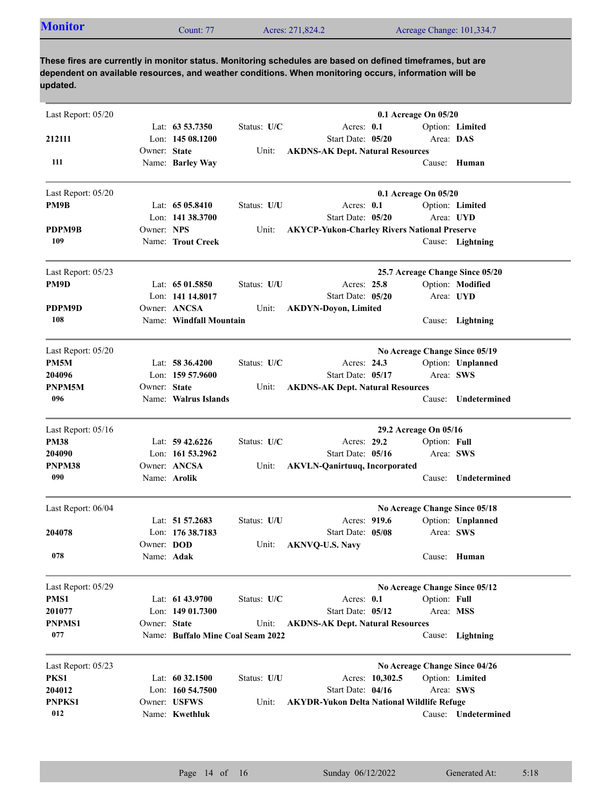|  | <b>Monitor</b><br>Count: 77 | Acres: 271,824.2 | Acreage Change: 101,334.7 |
|--|-----------------------------|------------------|---------------------------|
|--|-----------------------------|------------------|---------------------------|

| Last Report: 05/20 |              |                                   |             |                                                     | 0.1 Acreage On 05/20  |              |                                 |
|--------------------|--------------|-----------------------------------|-------------|-----------------------------------------------------|-----------------------|--------------|---------------------------------|
|                    |              | Lat: $63\,53.7350$                | Status: U/C | Acres: 0.1                                          |                       |              | Option: Limited                 |
| 212111             |              | Lon: $14508.1200$                 |             | Start Date: 05/20                                   |                       | Area: DAS    |                                 |
|                    | Owner: State |                                   | Unit:       | <b>AKDNS-AK Dept. Natural Resources</b>             |                       |              |                                 |
| 111                |              | Name: Barley Way                  |             |                                                     |                       |              | Cause: Human                    |
| Last Report: 05/20 |              |                                   |             |                                                     | 0.1 Acreage On 05/20  |              |                                 |
| PM9B               |              | Lat: $6505.8410$                  | Status: U/U | Acres: 0.1                                          |                       |              | Option: Limited                 |
|                    |              | Lon: 141 38.3700                  |             | Start Date: 05/20                                   |                       | Area: UYD    |                                 |
| PDPM9B             | Owner: NPS   |                                   | Unit:       | <b>AKYCP-Yukon-Charley Rivers National Preserve</b> |                       |              |                                 |
| 109                |              | Name: Trout Creek                 |             |                                                     |                       |              | Cause: Lightning                |
| Last Report: 05/23 |              |                                   |             |                                                     |                       |              | 25.7 Acreage Change Since 05/20 |
| PM9D               |              | Lat: $6501.5850$                  | Status: U/U | Acres: 25.8                                         |                       |              | Option: Modified                |
|                    |              | Lon: 141 14.8017                  |             | Start Date: 05/20                                   |                       |              | Area: UYD                       |
| PDPM9D             |              | Owner: ANCSA                      | Unit:       | <b>AKDYN-Doyon, Limited</b>                         |                       |              |                                 |
| 108                |              | Name: Windfall Mountain           |             |                                                     |                       |              | Cause: Lightning                |
| Last Report: 05/20 |              |                                   |             |                                                     |                       |              | No Acreage Change Since 05/19   |
| PM <sub>5</sub> M  |              | Lat: $58\,36.4200$                | Status: U/C | Acres: 24.3                                         |                       |              | Option: Unplanned               |
| 204096             |              | Lon: $15957.9600$                 |             | Start Date: 05/17                                   |                       | Area: SWS    |                                 |
| PNPM5M             | Owner: State |                                   | Unit:       | <b>AKDNS-AK Dept. Natural Resources</b>             |                       |              |                                 |
| 096                |              | Name: Walrus Islands              |             |                                                     |                       | Cause:       | Undetermined                    |
|                    |              |                                   |             |                                                     |                       |              |                                 |
| Last Report: 05/16 |              |                                   |             |                                                     | 29.2 Acreage On 05/16 |              |                                 |
| <b>PM38</b>        |              | Lat: $59\,42.6226$                | Status: U/C | Acres: 29.2                                         |                       | Option: Full |                                 |
| 204090             |              | Lon: 161 53.2962                  |             | Start Date: 05/16                                   |                       | Area: SWS    |                                 |
| PNPM38             |              | Owner: ANCSA                      | Unit:       | <b>AKVLN-Qanirtuuq, Incorporated</b>                |                       |              |                                 |
| 090                |              | Name: <b>Arolik</b>               |             |                                                     |                       |              | Cause: Undetermined             |
| Last Report: 06/04 |              |                                   |             |                                                     |                       |              | No Acreage Change Since 05/18   |
|                    |              | Lat: 51 57.2683                   | Status: U/U | Acres: 919.6                                        |                       |              | Option: Unplanned               |
| 204078             |              | Lon: 176 38.7183                  |             | Start Date: 05/08                                   |                       | Area: SWS    |                                 |
|                    | Owner: DOD   |                                   | Unit:       | <b>AKNVQ-U.S. Navy</b>                              |                       |              |                                 |
| 078                | Name: Adak   |                                   |             |                                                     |                       |              | Cause: Human                    |
| Last Report: 05/29 |              |                                   |             |                                                     |                       |              | No Acreage Change Since 05/12   |
| PMS1               |              | Lat: 61 43.9700                   | Status: U/C | Acres: 0.1                                          |                       | Option: Full |                                 |
| 201077             |              | Lon: $14901.7300$                 |             | Start Date: 05/12                                   |                       | Area: MSS    |                                 |
| <b>PNPMS1</b>      | Owner: State |                                   | Unit:       | <b>AKDNS-AK Dept. Natural Resources</b>             |                       |              |                                 |
| 077                |              | Name: Buffalo Mine Coal Seam 2022 |             |                                                     |                       | Cause:       | Lightning                       |
| Last Report: 05/23 |              |                                   |             |                                                     |                       |              | No Acreage Change Since 04/26   |
| PKS1               |              | Lat: 60 32.1500                   | Status: U/U |                                                     | Acres: 10,302.5       |              | Option: Limited                 |
| 204012             |              | Lon: $160\,54.7500$               |             | Start Date: 04/16                                   |                       |              | Area: SWS                       |
| PNPKS1             |              | Owner: USFWS                      | Unit:       | <b>AKYDR-Yukon Delta National Wildlife Refuge</b>   |                       |              |                                 |
| 012                |              | Name: Kwethluk                    |             |                                                     |                       |              | Cause: Undetermined             |
|                    |              |                                   |             |                                                     |                       |              |                                 |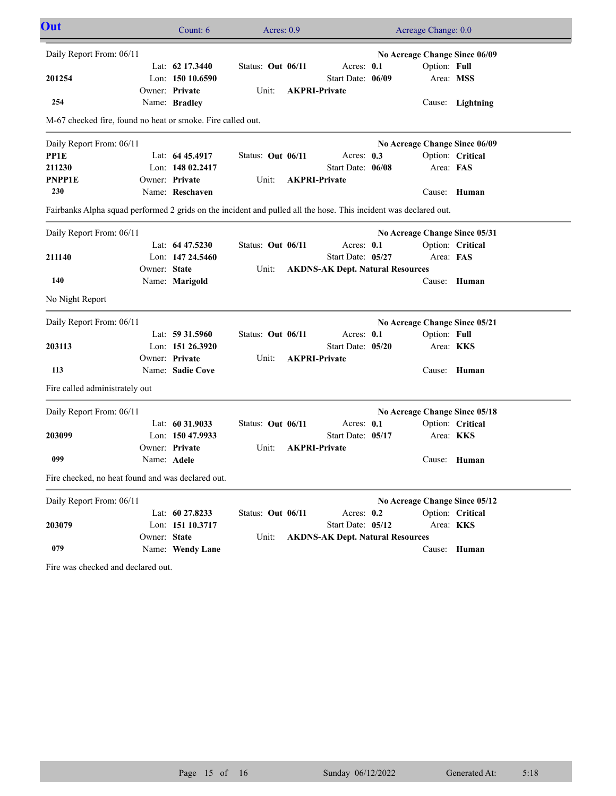| Out                                                                                                              |              | Count: 6           | Acres: $0.9$      |                                         | Acreage Change: 0.0           |                  |  |
|------------------------------------------------------------------------------------------------------------------|--------------|--------------------|-------------------|-----------------------------------------|-------------------------------|------------------|--|
| Daily Report From: 06/11                                                                                         |              |                    |                   |                                         | No Acreage Change Since 06/09 |                  |  |
|                                                                                                                  |              | Lat: $62\,17.3440$ | Status: Out 06/11 | Acres: 0.1                              | Option: Full                  |                  |  |
| 201254                                                                                                           |              | Lon: 150 10.6590   |                   | Start Date: 06/09                       | Area: MSS                     |                  |  |
|                                                                                                                  |              | Owner: Private     | Unit:             | <b>AKPRI-Private</b>                    |                               |                  |  |
| 254                                                                                                              |              | Name: Bradley      |                   |                                         |                               | Cause: Lightning |  |
| M-67 checked fire, found no heat or smoke. Fire called out.                                                      |              |                    |                   |                                         |                               |                  |  |
| Daily Report From: 06/11                                                                                         |              |                    |                   |                                         | No Acreage Change Since 06/09 |                  |  |
| PP1E                                                                                                             |              | Lat: $6445.4917$   | Status: Out 06/11 | Acres: 0.3                              |                               | Option: Critical |  |
| 211230                                                                                                           |              | Lon: 148 02.2417   |                   | Start Date: 06/08                       | Area: FAS                     |                  |  |
| <b>PNPP1E</b>                                                                                                    |              | Owner: Private     | Unit:             | <b>AKPRI-Private</b>                    |                               |                  |  |
| 230                                                                                                              |              | Name: Reschaven    |                   |                                         |                               | Cause: Human     |  |
| Fairbanks Alpha squad performed 2 grids on the incident and pulled all the hose. This incident was declared out. |              |                    |                   |                                         |                               |                  |  |
| Daily Report From: 06/11                                                                                         |              |                    |                   |                                         | No Acreage Change Since 05/31 |                  |  |
|                                                                                                                  |              | Lat: $64\,47.5230$ | Status: Out 06/11 | Acres: $0.1$                            |                               | Option: Critical |  |
| 211140                                                                                                           |              | Lon: 147 24,5460   |                   | Start Date: 05/27                       | Area: FAS                     |                  |  |
|                                                                                                                  | Owner: State |                    | Unit:             | <b>AKDNS-AK Dept. Natural Resources</b> |                               |                  |  |
| 140                                                                                                              |              | Name: Marigold     |                   |                                         |                               | Cause: Human     |  |
| No Night Report                                                                                                  |              |                    |                   |                                         |                               |                  |  |
| Daily Report From: 06/11                                                                                         |              |                    |                   |                                         | No Acreage Change Since 05/21 |                  |  |
|                                                                                                                  |              | Lat: $59\,31.5960$ | Status: Out 06/11 | Acres: 0.1                              | Option: Full                  |                  |  |
| 203113                                                                                                           |              | Lon: 151 26.3920   |                   | Start Date: 05/20                       |                               | Area: <b>KKS</b> |  |
|                                                                                                                  |              | Owner: Private     | Unit:             | <b>AKPRI-Private</b>                    |                               |                  |  |
| 113                                                                                                              |              | Name: Sadie Cove   |                   |                                         |                               | Cause: Human     |  |
| Fire called administrately out                                                                                   |              |                    |                   |                                         |                               |                  |  |
| Daily Report From: 06/11                                                                                         |              |                    |                   |                                         | No Acreage Change Since 05/18 |                  |  |
|                                                                                                                  |              | Lat: $60\,31.9033$ | Status: Out 06/11 | Acres: 0.1                              |                               | Option: Critical |  |
| 203099                                                                                                           |              | Lon: 150 47.9933   |                   | Start Date: 05/17                       |                               | Area: <b>KKS</b> |  |
|                                                                                                                  |              | Owner: Private     | Unit:             | <b>AKPRI-Private</b>                    |                               |                  |  |
| 099                                                                                                              | Name: Adele  |                    |                   |                                         |                               | Cause: Human     |  |
| Fire checked, no heat found and was declared out.                                                                |              |                    |                   |                                         |                               |                  |  |
| Daily Report From: 06/11                                                                                         |              |                    |                   |                                         | No Acreage Change Since 05/12 |                  |  |
|                                                                                                                  |              | Lat: 60 27.8233    | Status: Out 06/11 | Acres: 0.2                              |                               | Option: Critical |  |
| 203079                                                                                                           |              | Lon: 151 10.3717   |                   | Start Date: 05/12                       |                               | Area: KKS        |  |
|                                                                                                                  | Owner: State |                    | Unit:             | <b>AKDNS-AK Dept. Natural Resources</b> |                               |                  |  |
| 079                                                                                                              |              | Name: Wendy Lane   |                   |                                         |                               | Cause: Human     |  |

Fire was checked and declared out.